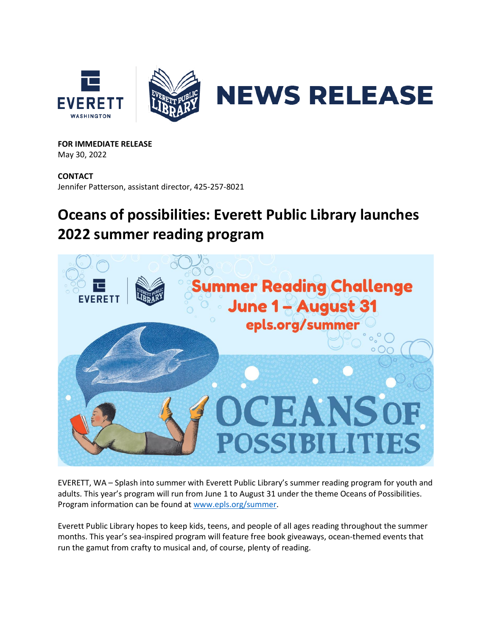

**FOR IMMEDIATE RELEASE** May 30, 2022

**CONTACT** Jennifer Patterson, assistant director, 425-257-8021

## **Oceans of possibilities: Everett Public Library launches 2022 summer reading program**



EVERETT, WA – Splash into summer with Everett Public Library's summer reading program for youth and adults. This year's program will run from June 1 to August 31 under the theme Oceans of Possibilities. Program information can be found at [www.epls.org/summer.](http://www.epls.org/summer)

Everett Public Library hopes to keep kids, teens, and people of all ages reading throughout the summer months. This year's sea-inspired program will feature free book giveaways, ocean-themed events that run the gamut from crafty to musical and, of course, plenty of reading.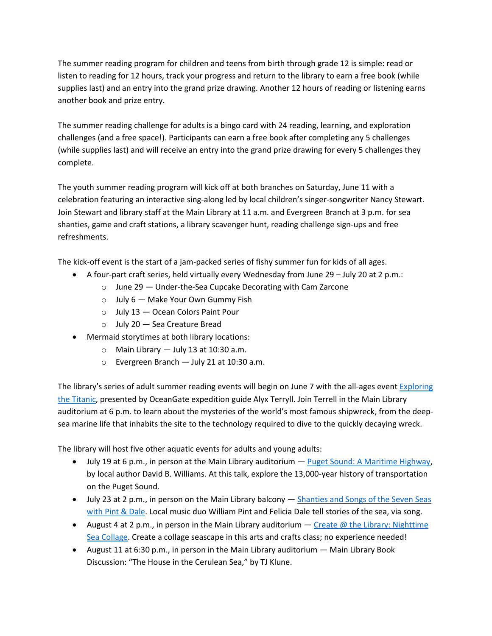The summer reading program for children and teens from birth through grade 12 is simple: read or listen to reading for 12 hours, track your progress and return to the library to earn a free book (while supplies last) and an entry into the grand prize drawing. Another 12 hours of reading or listening earns another book and prize entry.

The summer reading challenge for adults is a bingo card with 24 reading, learning, and exploration challenges (and a free space!). Participants can earn a free book after completing any 5 challenges (while supplies last) and will receive an entry into the grand prize drawing for every 5 challenges they complete.

The youth summer reading program will kick off at both branches on Saturday, June 11 with a celebration featuring an interactive sing-along led by local children's singer-songwriter Nancy Stewart. Join Stewart and library staff at the Main Library at 11 a.m. and Evergreen Branch at 3 p.m. for sea shanties, game and craft stations, a library scavenger hunt, reading challenge sign-ups and free refreshments.

The kick-off event is the start of a jam-packed series of fishy summer fun for kids of all ages.

- A four-part craft series, held virtually every Wednesday from June 29 July 20 at 2 p.m.:
	- o June 29 Under-the-Sea Cupcake Decorating with Cam Zarcone
	- $\circ$  July 6 Make Your Own Gummy Fish
	- o July 13 Ocean Colors Paint Pour
	- o July 20 Sea Creature Bread
- Mermaid storytimes at both library locations:
	- $\circ$  Main Library  $-$  July 13 at 10:30 a.m.
	- o Evergreen Branch July 21 at 10:30 a.m.

The library's series of adult summer reading events will begin on June 7 with the all-ages event Exploring [the Titanic,](https://epls.org/Calendar.aspx?EID=4772) presented by OceanGate expedition guide Alyx Terryll. Join Terrell in the Main Library auditorium at 6 p.m. to learn about the mysteries of the world's most famous shipwreck, from the deepsea marine life that inhabits the site to the technology required to dive to the quickly decaying wreck.

The library will host five other aquatic events for adults and young adults:

- July 19 at 6 p.m., in person at the Main Library auditorium [Puget Sound: A Maritime Highway,](https://epls.org/Calendar.aspx?EID=4757) by local author David B. Williams. At this talk, explore the 13,000-year history of transportation on the Puget Sound.
- July 23 at 2 p.m., in person on the Main Library balcony Shanties and Songs of the Seven Seas [with Pint & Dale.](https://epls.org/Calendar.aspx?EID=4759) Local music duo William Pint and Felicia Dale tell stories of the sea, via song.
- August 4 at 2 p.m., in person in the Main Library auditorium  $-$  Create @ the Library: Nighttime [Sea Collage.](https://epls.org/Calendar.aspx?EID=4773) Create a collage seascape in this arts and crafts class; no experience needed!
- August 11 at 6:30 p.m., in person in the Main Library auditorium Main Library Book Discussion: "The House in the Cerulean Sea," by TJ Klune.